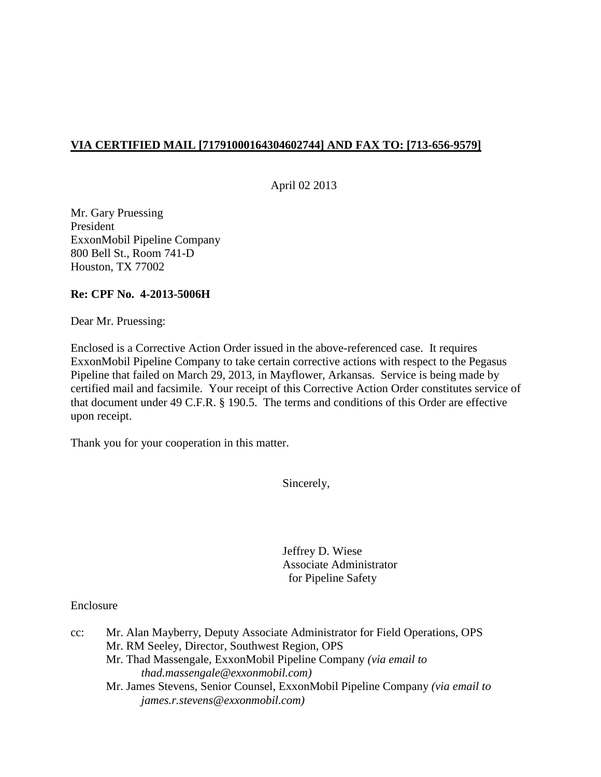# **VIA CERTIFIED MAIL [71791000164304602744] AND FAX TO: [713-656-9579]**

April 02 2013

Mr. Gary Pruessing President ExxonMobil Pipeline Company 800 Bell St., Room 741-D Houston, TX 77002

## **Re: CPF No. 4-2013-5006H**

Dear Mr. Pruessing:

Enclosed is a Corrective Action Order issued in the above-referenced case. It requires ExxonMobil Pipeline Company to take certain corrective actions with respect to the Pegasus Pipeline that failed on March 29, 2013, in Mayflower, Arkansas. Service is being made by certified mail and facsimile. Your receipt of this Corrective Action Order constitutes service of that document under 49 C.F.R. § 190.5. The terms and conditions of this Order are effective upon receipt.

Thank you for your cooperation in this matter.

Sincerely,

 Jeffrey D. Wiese Associate Administrator for Pipeline Safety

### Enclosure

| $cc$ : | Mr. Alan Mayberry, Deputy Associate Administrator for Field Operations, OPS  |
|--------|------------------------------------------------------------------------------|
|        | Mr. RM Seeley, Director, Southwest Region, OPS                               |
|        | Mr. Thad Massengale, ExxonMobil Pipeline Company (via email to               |
|        | $thad$ massengale $@$ exxonmobil.com)                                        |
|        | Mr. James Stevens, Senior Counsel, ExxonMobil Pipeline Company (via email to |
|        | james.r.stevens@exxonmobil.com)                                              |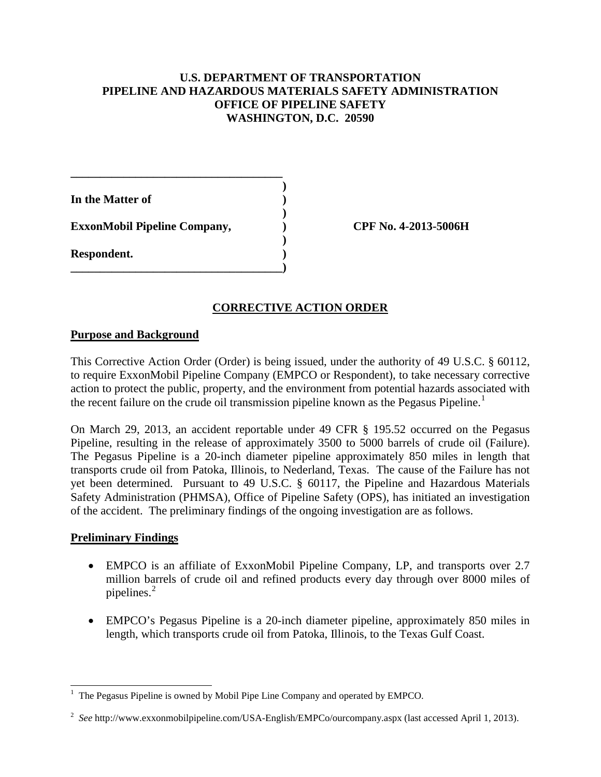## **U.S. DEPARTMENT OF TRANSPORTATION PIPELINE AND HAZARDOUS MATERIALS SAFETY ADMINISTRATION OFFICE OF PIPELINE SAFETY WASHINGTON, D.C. 20590**

**)** 

**In the Matter of ) )**  ExxonMobil Pipeline Company,  $\qquad \qquad$  OPF No. 4-2013-5006H  **) Respondent. ) \_\_\_\_\_\_\_\_\_\_\_\_\_\_\_\_\_\_\_\_\_\_\_\_\_\_\_\_\_\_\_\_\_\_\_\_)** 

**\_\_\_\_\_\_\_\_\_\_\_\_\_\_\_\_\_\_\_\_\_\_\_\_\_\_\_\_\_\_\_\_\_\_\_\_** 

## **CORRECTIVE ACTION ORDER**

### **Purpose and Background**

This Corrective Action Order (Order) is being issued, under the authority of 49 U.S.C. § 60112, to require ExxonMobil Pipeline Company (EMPCO or Respondent), to take necessary corrective action to protect the public, property, and the environment from potential hazards associated with the recent failure on the crude oil transmission pipeline known as the Pegasus Pipeline.<sup>1</sup>

On March 29, 2013, an accident reportable under 49 CFR § 195.52 occurred on the Pegasus Pipeline, resulting in the release of approximately 3500 to 5000 barrels of crude oil (Failure). The Pegasus Pipeline is a 20-inch diameter pipeline approximately 850 miles in length that transports crude oil from Patoka, Illinois, to Nederland, Texas. The cause of the Failure has not yet been determined. Pursuant to 49 U.S.C. § 60117, the Pipeline and Hazardous Materials Safety Administration (PHMSA), Office of Pipeline Safety (OPS), has initiated an investigation of the accident. The preliminary findings of the ongoing investigation are as follows.

### **Preliminary Findings**

- EMPCO is an affiliate of ExxonMobil Pipeline Company, LP, and transports over 2.7 million barrels of crude oil and refined products every day through over 8000 miles of pipelines.<sup>2</sup>
- EMPCO's Pegasus Pipeline is a 20-inch diameter pipeline, approximately 850 miles in length, which transports crude oil from Patoka, Illinois, to the Texas Gulf Coast.

 $\overline{a}$ 1 The Pegasus Pipeline is owned by Mobil Pipe Line Company and operated by EMPCO.

<sup>2</sup> *See* http://www.exxonmobilpipeline.com/USA-English/EMPCo/ourcompany.aspx (last accessed April 1, 2013).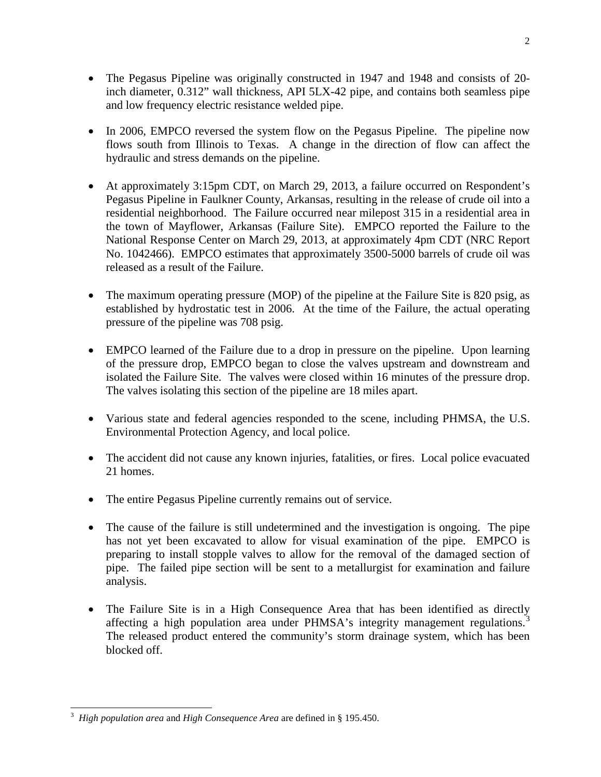- The Pegasus Pipeline was originally constructed in 1947 and 1948 and consists of 20inch diameter, 0.312" wall thickness, API 5LX-42 pipe, and contains both seamless pipe and low frequency electric resistance welded pipe.
- In 2006, EMPCO reversed the system flow on the Pegasus Pipeline. The pipeline now flows south from Illinois to Texas. A change in the direction of flow can affect the hydraulic and stress demands on the pipeline.
- At approximately 3:15pm CDT, on March 29, 2013, a failure occurred on Respondent's Pegasus Pipeline in Faulkner County, Arkansas, resulting in the release of crude oil into a residential neighborhood. The Failure occurred near milepost 315 in a residential area in the town of Mayflower, Arkansas (Failure Site). EMPCO reported the Failure to the National Response Center on March 29, 2013, at approximately 4pm CDT (NRC Report No. 1042466). EMPCO estimates that approximately 3500-5000 barrels of crude oil was released as a result of the Failure.
- The maximum operating pressure (MOP) of the pipeline at the Failure Site is 820 psig, as established by hydrostatic test in 2006. At the time of the Failure, the actual operating pressure of the pipeline was 708 psig.
- EMPCO learned of the Failure due to a drop in pressure on the pipeline. Upon learning of the pressure drop, EMPCO began to close the valves upstream and downstream and isolated the Failure Site. The valves were closed within 16 minutes of the pressure drop. The valves isolating this section of the pipeline are 18 miles apart.
- Various state and federal agencies responded to the scene, including PHMSA, the U.S. Environmental Protection Agency, and local police.
- The accident did not cause any known injuries, fatalities, or fires. Local police evacuated 21 homes.
- The entire Pegasus Pipeline currently remains out of service.
- The cause of the failure is still undetermined and the investigation is ongoing. The pipe has not yet been excavated to allow for visual examination of the pipe. EMPCO is preparing to install stopple valves to allow for the removal of the damaged section of pipe. The failed pipe section will be sent to a metallurgist for examination and failure analysis.
- The Failure Site is in a High Consequence Area that has been identified as directly affecting a high population area under PHMSA's integrity management regulations.<sup>3</sup> The released product entered the community's storm drainage system, which has been blocked off.

 3 *High population area* and *High Consequence Area* are defined in § 195.450.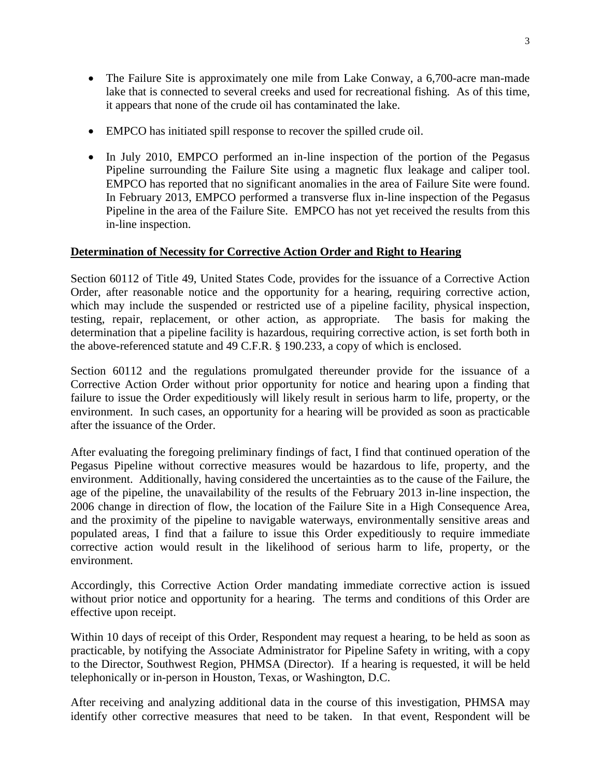- The Failure Site is approximately one mile from Lake Conway, a 6,700-acre man-made lake that is connected to several creeks and used for recreational fishing. As of this time, it appears that none of the crude oil has contaminated the lake.
- EMPCO has initiated spill response to recover the spilled crude oil.
- In July 2010, EMPCO performed an in-line inspection of the portion of the Pegasus Pipeline surrounding the Failure Site using a magnetic flux leakage and caliper tool. EMPCO has reported that no significant anomalies in the area of Failure Site were found. In February 2013, EMPCO performed a transverse flux in-line inspection of the Pegasus Pipeline in the area of the Failure Site. EMPCO has not yet received the results from this in-line inspection.

### **Determination of Necessity for Corrective Action Order and Right to Hearing**

Section 60112 of Title 49, United States Code, provides for the issuance of a Corrective Action Order, after reasonable notice and the opportunity for a hearing, requiring corrective action, which may include the suspended or restricted use of a pipeline facility, physical inspection, testing, repair, replacement, or other action, as appropriate. The basis for making the determination that a pipeline facility is hazardous, requiring corrective action, is set forth both in the above-referenced statute and 49 C.F.R. § 190.233, a copy of which is enclosed.

Section 60112 and the regulations promulgated thereunder provide for the issuance of a Corrective Action Order without prior opportunity for notice and hearing upon a finding that failure to issue the Order expeditiously will likely result in serious harm to life, property, or the environment. In such cases, an opportunity for a hearing will be provided as soon as practicable after the issuance of the Order.

After evaluating the foregoing preliminary findings of fact, I find that continued operation of the Pegasus Pipeline without corrective measures would be hazardous to life, property, and the environment. Additionally, having considered the uncertainties as to the cause of the Failure, the age of the pipeline, the unavailability of the results of the February 2013 in-line inspection, the 2006 change in direction of flow, the location of the Failure Site in a High Consequence Area, and the proximity of the pipeline to navigable waterways, environmentally sensitive areas and populated areas, I find that a failure to issue this Order expeditiously to require immediate corrective action would result in the likelihood of serious harm to life, property, or the environment.

Accordingly, this Corrective Action Order mandating immediate corrective action is issued without prior notice and opportunity for a hearing. The terms and conditions of this Order are effective upon receipt.

Within 10 days of receipt of this Order, Respondent may request a hearing, to be held as soon as practicable, by notifying the Associate Administrator for Pipeline Safety in writing, with a copy to the Director, Southwest Region, PHMSA (Director). If a hearing is requested, it will be held telephonically or in-person in Houston, Texas, or Washington, D.C.

After receiving and analyzing additional data in the course of this investigation, PHMSA may identify other corrective measures that need to be taken. In that event, Respondent will be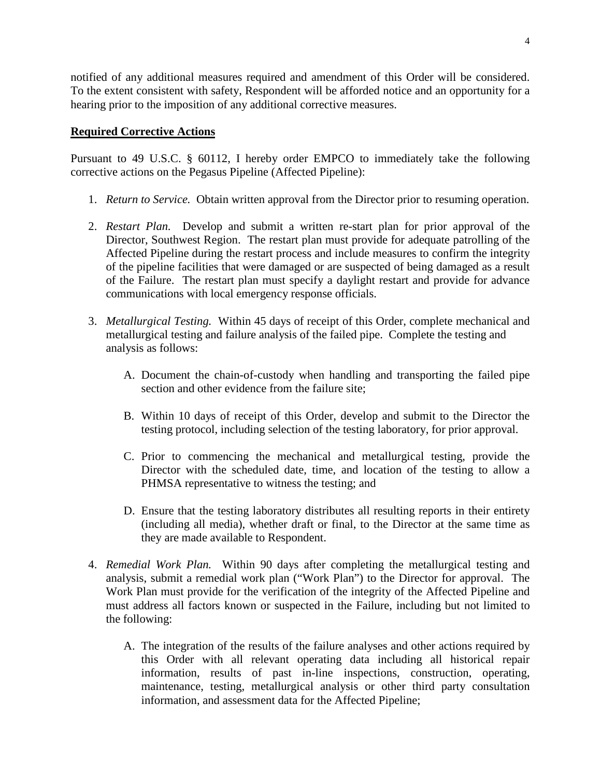notified of any additional measures required and amendment of this Order will be considered. To the extent consistent with safety, Respondent will be afforded notice and an opportunity for a hearing prior to the imposition of any additional corrective measures.

#### **Required Corrective Actions**

Pursuant to 49 U.S.C. § 60112, I hereby order EMPCO to immediately take the following corrective actions on the Pegasus Pipeline (Affected Pipeline):

- 1. *Return to Service.* Obtain written approval from the Director prior to resuming operation.
- 2. *Restart Plan.* Develop and submit a written re-start plan for prior approval of the Director, Southwest Region. The restart plan must provide for adequate patrolling of the Affected Pipeline during the restart process and include measures to confirm the integrity of the pipeline facilities that were damaged or are suspected of being damaged as a result of the Failure. The restart plan must specify a daylight restart and provide for advance communications with local emergency response officials.
- 3. *Metallurgical Testing.* Within 45 days of receipt of this Order, complete mechanical and metallurgical testing and failure analysis of the failed pipe. Complete the testing and analysis as follows:
	- A. Document the chain-of-custody when handling and transporting the failed pipe section and other evidence from the failure site;
	- B. Within 10 days of receipt of this Order, develop and submit to the Director the testing protocol, including selection of the testing laboratory, for prior approval.
	- C. Prior to commencing the mechanical and metallurgical testing, provide the Director with the scheduled date, time, and location of the testing to allow a PHMSA representative to witness the testing; and
	- D. Ensure that the testing laboratory distributes all resulting reports in their entirety (including all media), whether draft or final, to the Director at the same time as they are made available to Respondent.
- 4. *Remedial Work Plan.* Within 90 days after completing the metallurgical testing and analysis, submit a remedial work plan ("Work Plan") to the Director for approval. The Work Plan must provide for the verification of the integrity of the Affected Pipeline and must address all factors known or suspected in the Failure, including but not limited to the following:
	- A. The integration of the results of the failure analyses and other actions required by this Order with all relevant operating data including all historical repair information, results of past in-line inspections, construction, operating, maintenance, testing, metallurgical analysis or other third party consultation information, and assessment data for the Affected Pipeline;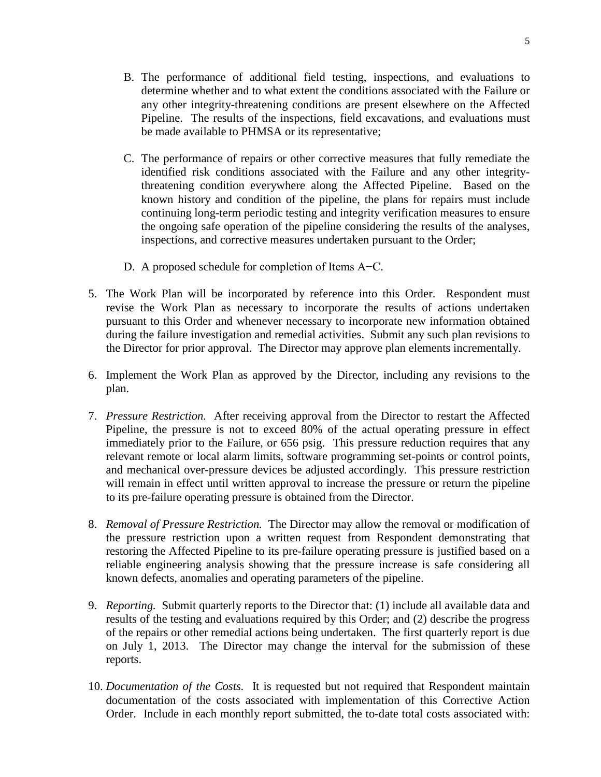- B. The performance of additional field testing, inspections, and evaluations to determine whether and to what extent the conditions associated with the Failure or any other integrity-threatening conditions are present elsewhere on the Affected Pipeline. The results of the inspections, field excavations, and evaluations must be made available to PHMSA or its representative;
- C. The performance of repairs or other corrective measures that fully remediate the identified risk conditions associated with the Failure and any other integritythreatening condition everywhere along the Affected Pipeline. Based on the known history and condition of the pipeline, the plans for repairs must include continuing long-term periodic testing and integrity verification measures to ensure the ongoing safe operation of the pipeline considering the results of the analyses, inspections, and corrective measures undertaken pursuant to the Order;
- D. A proposed schedule for completion of Items A−C.
- 5. The Work Plan will be incorporated by reference into this Order. Respondent must revise the Work Plan as necessary to incorporate the results of actions undertaken pursuant to this Order and whenever necessary to incorporate new information obtained during the failure investigation and remedial activities. Submit any such plan revisions to the Director for prior approval. The Director may approve plan elements incrementally.
- 6. Implement the Work Plan as approved by the Director, including any revisions to the plan.
- 7. *Pressure Restriction.* After receiving approval from the Director to restart the Affected Pipeline, the pressure is not to exceed 80% of the actual operating pressure in effect immediately prior to the Failure, or 656 psig. This pressure reduction requires that any relevant remote or local alarm limits, software programming set-points or control points, and mechanical over-pressure devices be adjusted accordingly.This pressure restriction will remain in effect until written approval to increase the pressure or return the pipeline to its pre-failure operating pressure is obtained from the Director.
- 8. *Removal of Pressure Restriction.* The Director may allow the removal or modification of the pressure restriction upon a written request from Respondent demonstrating that restoring the Affected Pipeline to its pre-failure operating pressure is justified based on a reliable engineering analysis showing that the pressure increase is safe considering all known defects, anomalies and operating parameters of the pipeline.
- 9. *Reporting.* Submit quarterly reports to the Director that: (1) include all available data and results of the testing and evaluations required by this Order; and (2) describe the progress of the repairs or other remedial actions being undertaken. The first quarterly report is due on July 1, 2013. The Director may change the interval for the submission of these reports.
- 10. *Documentation of the Costs.* It is requested but not required that Respondent maintain documentation of the costs associated with implementation of this Corrective Action Order. Include in each monthly report submitted, the to-date total costs associated with: